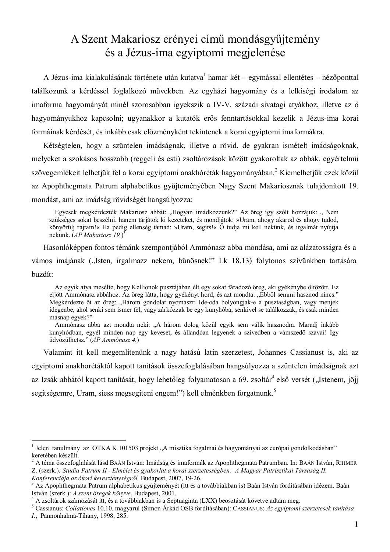# A Szent Makariosz erényei című mondásgyűjtemény és a Jézus-ima egyiptomi megjelenése

A Jézus-ima kialakulásának története után kutatva<sup>1</sup> hamar két – egymással ellentétes – nézőponttal találkozunk a kérdéssel foglalkozó művekben. Az egyházi hagyomány és a lelkiségi irodalom az imaforma hagyományát minél szorosabban igyekszik a IV-V. századi sivatagi atyákhoz, illetve az ő hagyományukhoz kapcsolni; ugyanakkor a kutatók erős fenntartásokkal kezelik a Jézus-ima korai formáinak kérdését, és inkább csak előzményként tekintenek a korai egyiptomi imaformákra.

Kétségtelen, hogy a szüntelen imádságnak, illetve a rövid, de gyakran ismételt imádságoknak, melyeket a szokásos hosszabb (reggeli és esti) zsoltározások között gyakoroltak az abbák, egyértelmű szövegemlékeit lelhetjük fel a korai egyiptomi anakhóréták hagyományában.<sup>2</sup> Kiemelhetjük ezek közül az Apophthegmata Patrum alphabetikus gyűjteményében Nagy Szent Makariosznak tulajdonított 19. mondást, ami az imádság rövidségét hangsúlvozza:

Egyesek megkérdezték Makariosz abbát: "Hogyan imádkozzunk?" Az öreg így szólt hozzájuk: "Nem szükséges sokat beszélni, hanem tárjátok ki kezeteket, és mondjátok: »Uram, ahogy akarod és ahogy tudod, könyörüli rajtam!« Ha pedig ellenség támad: »Uram, segíts!« Ő tudja mi kell nekünk, és irgalmát nyújtja nekünk.  $AP$  Makariosz 19.)<sup>3</sup>

Hasonlóképpen fontos témánk szempontjából Ammónasz abba mondása, ami az alázatosságra és a vámos imájának ("Isten, irgalmazz nekem, bűnösnek!" Lk 18,13) folytonos szívünkben tartására buzdít:

Az egyik atva mesélte, hogy Kellionok pusztájában élt egy sokat fáradozó öreg, aki gyékénybe öltözött. Ez eljött Ammónasz abbához. Az öreg látta, hogy gyékényt hord, és azt mondta: "Ebből semmi hasznod nincs." Megkérdezte őt az öreg: "Három gondolat nyomaszt: Ide-oda bolyongjak-e a pusztaságban, vagy menjek idegenbe, ahol senki sem ismer fel, vagy zárkózzak be egy kunyhóba, senkivel se találkozzak, és csak minden másnap egyek?"

Ammónasz abba azt mondta neki: "A három dolog közül egyik sem válik hasznodra. Maradj inkább kunyhódban, egyél minden nap egy keveset, és állandóan legyenek a szívedben a vámszedő szavai! Így üdvözülhetsz." (AP Ammónasz 4.)

Valamint itt kell megemlítenünk a nagy hatású latin szerzetest, Johannes Cassianust is, aki az egyiptomi anakhorétáktól kapott tanítások összefoglalásában hangsúlyozza a szüntelen imádságnak azt az Izsák abbától kapott tanítását, hogy lehetőleg folyamatosan a 69. zsoltár<sup>4</sup> első versét ("Istenem, jöji segítségemre, Uram, siess megsegíteni engem!") kell elménkben forgatnunk.<sup>5</sup>

Jelen tanulmány az OTKA K 101503 projekt "A misztika fogalmai és hagyományai az európai gondolkodásban" keretében készült.

<sup>&</sup>lt;sup>2</sup> A téma összefoglalását lásd BAÁN István: Imádság és imaformák az Apophthegmata Patrumban. In: BAÁN István, RIHMER Z. (szerk.): Studia Patrum II - Elmélet és gyakorlat a korai szerzetességben: A Magyar Patrisztikai Társaság II. Konferenciája az ókori kereszténységről, Budapest, 2007, 19-26.

Az Apophthegmata Patrum alphabetikus gyűjteményét (itt és a továbbiakban is) Baán István fordításában idézem. Baán István (szerk.): A szent öregek könyve. Budapest. 2001.

A zsoltárok számozását itt, és a továbbiakban is a Septuaginta (LXX) beosztását követve adtam meg.

<sup>&</sup>lt;sup>5</sup> Cassianus: Collationes 10.10. magyarul (Simon Árkád OSB fordításában): CASSIANUS: Az egyiptomi szerzetesek tanítása *I.*, Pannonhalma-Tihany, 1998, 285.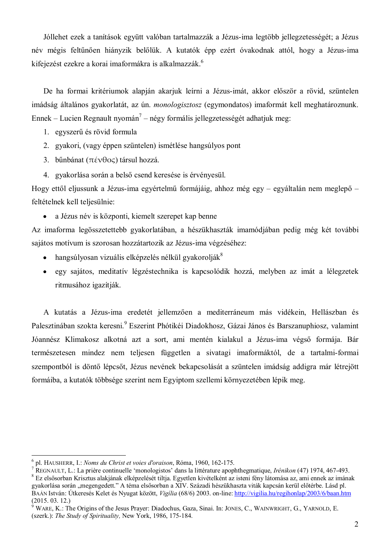Jóllehet ezek a tanítások együtt valóban tartalmazzák a Jézus-ima legtöbb jellegzetességét; a Jézus név mégis feltűnően hiányzik belőlük. A kutatók épp ezért óvakodnak attól, hogy a Jézus-ima kifejezést ezekre a korai imaformákra is alkalmazzák.<sup>6</sup>

De ha formai kritériumok alapján akarjuk leírni a Jézus-imát, akkor először a rövid, szüntelen imádság általános gyakorlatát, az ún. *monologisztosz* (egymondatos) imaformát kell meghatároznunk. Ennek – Lucien Regnault nyomán<sup>7</sup> – négy formális jellegzetességét adhatjuk meg:

- 1. egyszerű és rövid formula
- 2. gyakori, (vagy éppen szüntelen) ismétlése hangsúlyos pont
- 3. bűnbánat ( $\pi \notin \forall \theta \infty$ ) társul hozzá.
- 4. gyakorlása során a belső csend keresése is érvényesül.

Hogy ettől eljussunk a Jézus-ima egyértelmű formájáig, ahhoz még egy – egyáltalán nem meglepő – feltételnek kell teljesülnie:

• a Jézus név is központi, kiemelt szerepet kap benne

Az imaforma legösszetettebb gyakorlatában, a hészükhaszták imamódjában pedig még két további sajátos motívum is szorosan hozzátartozik az Jézus-ima végzéséhez:

- hangsúlyosan vizuális elképzelés nélkül gyakorolják<sup>8</sup>  $\bullet$
- egy sajátos, meditatív légzéstechnika is kapcsolódik hozzá, melyben az imát a lélegzetek  $\bullet$ ritmusához igazítják.

A kutatás a Jézus-ima eredetét jellemzően a mediterráneum más vidékein, Hellászban és Palesztinában szokta keresni.<sup>9</sup> Eszerint Phótikéi Diadokhosz, Gázai János és Barszanuphiosz, valamint Jóannész Klimakosz alkotná azt a sort, ami mentén kialakul a Jézus-ima végső formája. Bár természetesen mindez nem teljesen független a sivatagi imaformáktól, de a tartalmi-formai szempontból is döntő lépcsőt, Jézus nevének bekapcsolását a szüntelen imádság addigra már létrejött formáiba, a kutatók többsége szerint nem Egyiptom szellemi környezetében lépik meg.

 $<sup>6</sup>$  pl. HAUSHERR, I.: Noms du Christ et voies d'oraison, Róma, 1960, 162-175.</sup>

REGNAULT, L.: La prière continuelle 'monologistos' dans la littérature apophthegmatique, Irénikon (47) 1974, 467-493. 8 Ez elsősorban Krisztus alakjának elképzelését tiltja. Egyetlen kivételként az isteni fény látomása az, ami ennek az imának gyakorlása során "megengedett." A téma elsősorban a XIV. Századi hészükhaszta viták kapcsán kerül előtérbe. Lásd pl. BAÁN István: Útkeresés Kelet és Nyugat között, Vigília (68/6) 2003. on-line: http://vigilia.hu/regihonlap/2003/6/baan.htm  $(2015, 03, 12)$ 

WARE, K.; The Origins of the Jesus Prayer: Diadochus, Gaza, Sinai, In: JONES, C., WAINWRIGHT, G., YARNOLD, E. (szerk.): The Study of Spirituality, New York, 1986, 175-184.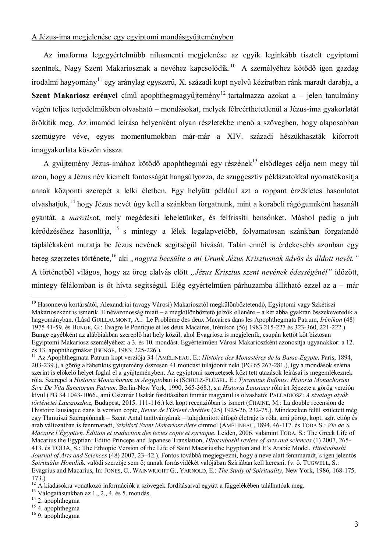#### A Jézus-ima megjelenése egy egyiptomi mondásgyűjteményben

Az imaforma legegyértelműbb nílusmenti megjelenése az egyik leginkább tisztelt egyiptomi szentnek, Nagy Szent Makariosznak a nevéhez kapcsolódik.<sup>10</sup> A személyéhez kötődő igen gazdag irodalmi hagyomány<sup>11</sup> egy aránylag egyszerű, X. századi kopt nyelvű kéziratban ránk maradt darabja, a **Szent Makariosz erényei** című apophthegmagyűjtemény<sup>12</sup> tartalmazza azokat a – jelen tanulmány végén teljes terjedelmükben olvasható – mondásokat, melyek félreérthetetlenül a Jézus-ima gyakorlatát örökítik meg. Az imamód leírása helyenként olyan részletekbe menő a szövegben, hogy alaposabban szemügyre véve, egyes momentumokban már-már a XIV. századi hészükhaszták kiforrott imagyakorlata köszön vissza.

A gyűjtemény Jézus-imához kötődő apophthegmái egy részének<sup>13</sup> elsődleges célja nem megy túl azon, hogy a Jézus név kiemelt fontosságát hangsúlvozza, de szuggesztív példázatokkal nyomatékosítia annak központi szerepét a lelki életben. Egy helyütt például azt a roppant érzékletes hasonlatot olvashatjuk,<sup>14</sup> hogy Jézus nevét úgy kell a szánkban forgatnunk, mint a korabeli rágógumiként használt gyantát, a masztixot, mely megédesíti leheletünket, és felfrissíti bensőnket. Máshol pedig a juh kérődzéséhez hasonlítja, <sup>15</sup> s mintegy a lélek legalapvetőbb, folyamatosan szánkban forgatandó táplálékaként mutatja be Jézus nevének segítségül hívását. Talán ennél is érdekesebb azonban egy beteg szerzetes története,<sup>16</sup> aki "nagyra becsülte a mi Urunk Jézus Krisztusnak üdvös és áldott nevét." A történetből világos, hogy az öreg elalvás előtt "Jézus Krisztus szent nevének édességénél" időzött, mintegy félálomban is őt hívta segítségül. Elég egyértelműen párhuzamba állítható ezzel az a – már

<sup>&</sup>lt;sup>10</sup> Hasonnevű kortársától, Alexandriai (avagy Városi) Makariosztól megkülönböztetendő, Egyiptomi vagy Szkétiszi Makarioszként is ismerik. E névazonosság miatt – a megkülönböztető jelzők ellenére – a két abba gyakran összekeveredik a hagyományban. (Lásd GUILLAUMONT, A.: Le Problème des deux Macaires dans les Apophthegmata Patrum, *Irénikon* (48) 1975 41-59, és BUNGE, G.; Évagre le Pontique et les deux Macaires, Irénikon (56) 1983 215-227 és 323-360, 221-222.) Bunge egyébként az alábbiakban szereplő hat hely közül, ahol Evagriosz is megjelenik, csupán kettőt köt biztosan Egyiptomi Makariosz személyéhez: a 3. és 10. mondást. Egyértelműen Városi Makarioszként azonosítia ugyanakkor: a 12. és 13. apophthegmákat (BUNGE, 1983, 225-226.).

<sup>&</sup>lt;sup>11</sup> Az Apophthegmata Patrum kopt verziója 34 (AMÉLINEAU, E.: Histoire des Monastères de la Basse-Egypte, Paris, 1894, 203-239.), a görög alfabetikus gyűjtemény összesen 41 mondást tulajdonít neki (PG 65 267-281.), így a mondások száma szerint is előkelő helyet foglal el a gyűjteményben. Az egyiptomi szerzetesek közt tett utazások leírásai is megemlékeznek róla. Szerepel a Historia Monachorum in Aegyptoban is (SCHULZ-FLÜGEL, E.: Tyrannius Rufinus: Historia Monachorum Sive De Vita Sanctorum Patrum, Berlin-New York, 1990, 365-368.), s a Historia Lausiaca róla írt fejezete a görög verzión kívül (PG 34 1043-1066., ami Csizmár Oszkár fordításában ímmár magyarul is olvasható: PALLADIOSZ: A sivatagi atvák történetei Lauszoszhoz, Budapest, 2015. 111-116.) két kopt recenzióban is ismert (CHAINE, M.: La double recension de l'histoire lausiaque dans la version copte, Revue de l'Orient chrétien (25) 1925-26, 232-75.). Mindezeken felül született még egy Thmuiszi Szerapiónnak – Szent Antal tanítványának – tulajdonított átfogó életrajz is róla, ami görög, kopt, szír, etióp és arab változatban is fennmaradt, Szkétiszi Szent Makariosz élete címmel (AMÉLINEAU, 1894.46-117. és TODA S.: Vie de S. *Macaire l'Égyptien. Édition et traduction des textes copte et syriaque*, Leiden, 2006. valamint TODA, S.: The Greek Life of Macarius the Egyptian: Editio Princeps and Japanese Translation, *Hitotsubashi review of arts and sciences* (1) 2007, 265-413. és TODA, S.: The Ethiopic Version of the Life of Saint Macariusthe Egyptian and It's Arabic Model, *Hitotsubashi* Journal of Arts and Sciences (48) 2007, 23–42.). Fontos továbbá megjegyezni, hogy a neve alatt fennmaradt, s igen jelentős Spirituális Homiliák valódi szerzője sem ő; annak forrásvidékét valójában Szíriában kell keresni. (v. ö. TUGWELL, S.: Evagrius and Macarius, In: JONES, C., WAINWRIGHT G., YARNOLD, E.: The Study of Spirituality, New York, 1986, 168-175,  $173.$ 

 $12$  A kiadásokra vonatkozó információk a szövegek fordításaival együtt a függelékében találhatóak meg.

<sup>&</sup>lt;sup>13</sup> Válogatásunkban az 1., 2., 4. és 5. mondás.

 $14$  2. apophthegma

 $15$  4. apophthegma

 $16$  9. apophthegma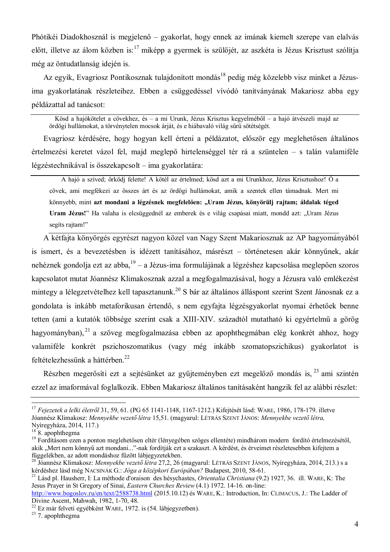Phótikéi Diadokhosznál is megjelenő – gyakorlat, hogy ennek az imának kiemelt szerepe van elalyás előtt, illetve az álom közben is:<sup>17</sup> miképp a gyermek is szülőjét, az aszkéta is Jézus Krisztust szólítja még az öntudatlanság idején is.

Az egyik, Evagriosz Pontikosznak tulajdonított mondás<sup>18</sup> pedig még közelebb visz minket a Jézusima gyakorlatának részleteihez. Ebben a csüggedéssel vívódó tanítványának Makariosz abba egy példázattal ad tanácsot:

Kösd a hajókötelet a cövekhez, és – a mi Urunk, Jézus Krisztus kegyelméből – a hajó átvészeli majd az ördögi hullámokat, a törvénytelen mocsok árját, és e hiábavaló világ sűrű sötétségét.

Evagriosz kérdésére, hogy hogyan kell érteni a példázatot, először egy meglehetősen általános értelmezési keretet vázol fel, majd meglepő hirtelenséggel tér rá a szüntelen – s talán valamiféle légzéstechnikával is összekapcsolt – ima gyakorlatára:

A hajó a szíved: őrködi felette! A kötél az értelmed: kösd azt a mi Urunkhoz, Jézus Krisztushoz! Ő a cövek, ami megfékezi az összes árt és az ördögi hullámokat, amik a szentek ellen támadnak. Mert mi könnyebb, mint azt mondani a légzésnek megfelelően: "Uram Jézus, könyörülj rajtam; áldalak téged Uram Jézus!" Ha valaha is elcsüggednél az emberek és e világ csapásai miatt, mondd azt: "Uram Jézus segíts rajtam!"

A kétfajta könyörgés egyrészt nagyon közel van Nagy Szent Makariosznak az AP hagyományából is ismert, és a bevezetésben is idézett tanításához, másrészt – történetesen akár könnyűnek, akár nehéznek gondolja ezt az abba,  $19 - a$  Jézus-ima formulájának a légzéshez kapcsolása meglepően szoros kapcsolatot mutat Jóannész Klimakosznak azzal a megfogalmazásával, hogy a Jézusra való emlékezést mintegy a lélegzetvételhez kell tapasztanunk.<sup>20</sup> S bár az általános álláspont szerint Szent Jánosnak ez a gondolata is inkább metaforikusan értendő, s nem egyfajta légzésgyakorlat nyomai érhetőek benne tetten (ami a kutatók többsége szerint csak a XIII-XIV. századtól mutatható ki egyértelmű a görög hagyományban), <sup>21</sup> a szöveg megfogalmazása ebben az apophthegmában elég konkrét ahhoz, hogy valamiféle konkrét pszichoszomatikus (vagy még inkább szomatopszichikus) gyakorlatot is feltételezhessünk a háttérben.<sup>22</sup>

Részben megerősíti ezt a sejtésünket az gyűjteményben ezt megelőző mondás is.<sup>23</sup> ami szintén ezzel az imaformával foglalkozik. Ebben Makariosz általános tanításaként hangzik fel az alábbi részlet:

<sup>&</sup>lt;sup>17</sup> Fejezetek a lelki életről 31, 59, 61, (PG 65 1141-1148, 1167-1212.) Kifejtését lásd: WARE, 1986, 178-179, illetve Jóannész Klimakosz: Mennyekbe vezető létra 15,51. (magyarul: LÉTRÁS SZENT JÁNOS: Mennyekbe vezető létra, Nyíregyháza, 2014, 117.)

 $18$  8. apophthegma

<sup>&</sup>lt;sup>19</sup> Fordításom ezen a ponton meglehetősen eltér (lényegében szöges ellentéte) mindhárom modern fordító értelmezésétől, akik "Mert nem könnyű azt mondani..."-nak fordítják ezt a szakaszt. A kérdést, és érveimet részletesebben kifejtem a függelékben, az adott mondáshoz fűzött lábjegyzetekben.

<sup>&</sup>lt;sup>20</sup> Jóannész Klimakosz: *Mennyekbe vezető létra* 27,2, 26 (magyarul: Létra SZENT JÁNOS, Nyíregyháza, 2014, 213.) s a kérdéshez lásd még NACSINÁK G.: Jóga a középkori Európában? Budapest, 2010, 58-61.

<sup>&</sup>lt;sup>21</sup> Lásd pl. Hausherr, I: La méthode d'oraison des hésychastes, Orientalia Christiana (9.2) 1927, 36. ill. WARE, K: The Jesus Prayer in St Gregory of Sinai. *Eastern Churches Review* (4.1) 1972, 14-16, on-line:

http://www.bogoslov.ru/en/text/2588738.html (2015.10.12) és WARE, K.: Introduction, In: CLIMACUS, J.: The Ladder of Divine Ascent, Mahwah, 1982, 1-70, 48.

<sup>&</sup>lt;sup>22</sup> Ez már felveti egyébként WARE, 1972. is (54. lábjegyzetben).

<sup>&</sup>lt;sup>23</sup> 7. apophthegma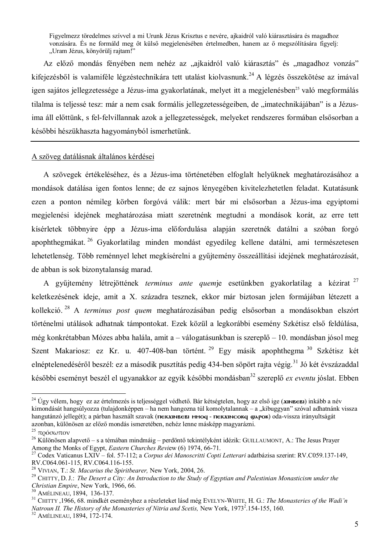Figyelmezz töredelmes szívvel a mi Urunk Jézus Krisztus e nevére, ajkaidról való kiárasztására és magadhoz vonzására. És ne formáld meg őt külső megjelenésében értelmedben, hanem az ő megszólítására figyelj: "Uram Jézus, könyörülj rajtam!"

Az előző mondás fényében nem nehéz az "ajkaidról való kiárasztás" és "magadhoz vonzás" kifejezésből is valamiféle légzéstechnikára tett utalást kiolvasnunk.<sup>24</sup> A légzés összekötése az imával igen sajátos jellegzetessége a Jézus-ima gyakorlatának, melyet itt a megjelenésben<sup>25</sup> való megformálás tilalma is teljessé tesz: már a nem csak formális jellegzetességeiben, de "imatechnikájában" is a Jézusima áll előttünk, s fel-felvillannak azok a jellegzetességek, melyeket rendszeres formában elsősorban a későbbi hészükhaszta hagyományból ismerhetünk.

#### A szöveg datálásnak általános kérdései

A szövegek értékeléséhez, és a Jézus-ima történetében elfoglalt helyüknek meghatározásához a mondások datálása igen fontos lenne; de ez sajnos lényegében kivitelezhetetlen feladat. Kutatásunk ezen a ponton némileg körben forgóvá válik: mert bár mi elsősorban a Jézus-ima egyiptomi megjelenési idejének meghatározása miatt szeretnénk megtudni a mondások korát, az erre tett kísérletek többnyire épp a Jézus-ima előfordulása alapján szeretnék datálni a szóban forgó apophthegmákat.<sup>26</sup> Gyakorlatilag minden mondást egyedileg kellene datálni, ami természetesen lehetetlenség. Több reménnyel lehet megkísérelni a gyűjtemény összeállítási idejének meghatározását, de abban is sok bizonytalanság marad.

A gyűjtemény létrejöttének terminus ante quemje esetünkben gvakorlatilag a kézirat<sup>27</sup> keletkezésének ideje, amit a X. századra tesznek, ekkor már biztosan jelen formájában létezett a kollekció.<sup>28</sup> A *terminus post quem* meghatározásában pedig elsősorban a mondásokban elszórt történelmi utálások adhatnak támpontokat. Ezek közül a legkorábbi esemény Szkétisz első feldúlása, még konkrétabban Mózes abba halála, amit a – válogatásunkban is szereplő – 10. mondásban jósol meg Szent Makariosz: ez Kr. u. 407-408-ban történt.<sup>29</sup> Egy másik apophthegma<sup>30</sup> Szkétisz két elnéptelenedéséről beszél: ez a második pusztítás pedig 434-ben söpört rajta végig.<sup>31</sup> Jó két évszázaddal későbbi eseményt beszél el ugyanakkor az egyik későbbi mondásban<sup>32</sup> szereplő *ex eventu* jóslat. Ebben

<sup>&</sup>lt;sup>24</sup> Úgy vélem, hogy ez az értelmezés is teljességgel védhető. Bár kétségtelen, hogy az első ige (xINBEBI) inkább a név kimondását hangsúlyozza (tulajdonképpen – ha nem hangozna túl komolytalannak – a "kibuggyan" szóval adhatnánk vissza hangutánzó jellegét); a párban használt szavak (**пекхімвеві ммод-пекхімсокд фарок**) oda-vissza irányultságát azonban, különösen az előző mondás ismeretében, nehéz lenne másképp magyarázni.

<sup>&</sup>lt;sup>25</sup> πρόσωπον

 $^{26}$  Különösen alapvető – s a témában mindmáig – perdöntő tekintélyként idézik: GUILLAUMONT, A.: The Jesus Prayer Among the Monks of Egypt, *Eastern Churches Review* (6) 1974, 66-71.

<sup>&</sup>lt;sup>27</sup> Codex Vaticanus LXIV – fol. 57-112; a Corpus dei Manoscritti Copti Letterari adatbázisa szerint: RV.C059.137-149, RV.C064.061-115, RV.C064.116-155.

<sup>&</sup>lt;sup>28</sup> VIVIAN, T.: St. Macarius the Spiritbearer, New York, 2004, 26.

<sup>&</sup>lt;sup>29</sup> CHITTY, D. J.: The Desert a City: An Introduction to the Study of Egyptian and Palestinian Monasticism under the Christian Empire, New York, 1966, 66.

<sup>&</sup>lt;sup>30</sup> AMÉLINEAU, 1894, 136-137.

<sup>&</sup>lt;sup>31</sup> CHITTY 1966, 68, mindkét eseményhez a részleteket lásd még EVELYN-WHITE, H. G.: *The Monasteries of the Wadi'n* Natroun II. The History of the Monasteries of Nitria and Scetis, New York, 1973<sup>2</sup>, 154-155, 160.

<sup>&</sup>lt;sup>32</sup> AMÉLINEAU, 1894, 172-174.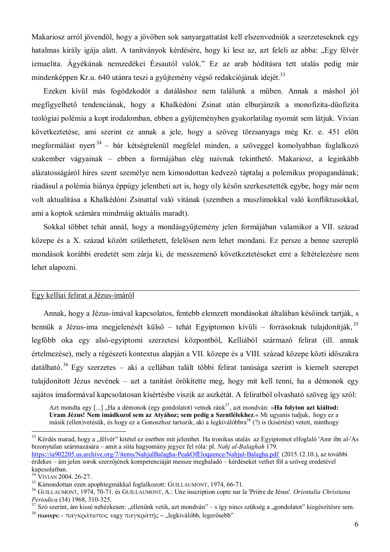Makariosz arról jövendöl, hogy a jövőben sok sanyargattatást kell elszenyedniük a szerzeteseknek egy hatalmas király igája alatt. A tanítványok kérdésére, hogy ki lesz az, azt feleli az abba: "Egy félvér izmaelita. Ágyékának nemzedékei Ézsautól valók." Ez az arab hódításra tett utalás pedig már mindenképpen Kr.u. 640 utánra teszi a gyűjtemény végső redakciójának idejét.<sup>33</sup>

Ezeken kívül más fogódzkodót a datáláshoz nem találunk a műben. Annak a máshol jól megfigyelhető tendenciának, hogy a Khalkédóni Zsinat után elburjánzik a monofizita-düofizita teológiai polémia a kopt irodalomban, ebben a gyűjteményben gyakorlatilag nyomát sem látjuk. Vivian következtetése, ami szerint ez annak a jele, hogy a szöveg törzsanyaga még Kr. e. 451 előtt megformálást nyert<sup>34</sup> – bár kétségtelenül megfelel minden, a szöveggel komolyabban foglalkozó szakember vágyainak – ebben a formájában elég naivnak tekinthető. Makariosz, a leginkább alázatosságáról híres szent személye nem kimondottan kedvező táptalai a polemikus propagandának: ráadásul a polémia hiánya éppúgy jelentheti azt is, hogy oly későn szerkesztették egybe, hogy már nem volt aktualitása a Khalkédóni Zsinattal való vitának (szemben a muszlimokkal való konfliktusokkal, ami a koptok számára mindmáig aktuális maradt).

Sokkal többet tehát annál, hogy a mondásgyűjtemény jelen formájában valamikor a VII. század közepe és a X. század között születhetett, felelősen nem lehet mondani. Ez persze a benne szereplő mondások korábbi eredetét sem zárja ki, de messzemenő következtetéseket erre a feltételezésre nem lehet alapozni.

#### Egy kelliai felirat a Jézus-imáról

Annak, hogy a Jézus-imával kapcsolatos, fentebb elemzett mondásokat általában későinek tartják, s bennük a Jézus-ima megjelenését külső – tehát Egyiptomon kívüli – forrásoknak tulajdonítják,  $35$ legfőbb oka egy alsó-egyiptomi szerzetesi központból, Kelliából származó felirat (ill. annak értelmezése), mely a régészeti kontextus alapján a VII. közepe és a VIII. század közepe közti időszakra datálható.<sup>36</sup> Egy szerzetes – aki a cellában talált többi felirat tanúsága szerint is kiemelt szerepet tulajdonított Jézus nevének – azt a tanítást örökítette meg, hogy mit kell tenni, ha a démonok egy sajátos imaformával kapcsolatosan kísértésbe viszik az aszkétát. A feliratból olvasható szöveg így szól:

Azt mondta egy [...] "Ha a démonok (egy gondolatot) vetnek ránk<sup>37</sup>, azt mondván: »**Ha folyton azt kiáltod:** Uram Jézus! Nem imádkozol sem az Atvához; sem pedig a Szentlélekhez.« Mi ugyanis tudjuk, hogy ez a másik (ellen)vetésük, és hogy ez a Gonoszhoz tartozik, aki a legkiválóbbra<sup>38</sup> (?) is (kísértést) vetett, minthogy

<sup>&</sup>lt;sup>33</sup> Kérdés marad, hogy a "félvér" kitétel ez esetben mit jelenthet. Ha ironikus utalás az Egyiptomot elfoglaló 'Amr ibn al-'As bizonytalan származására – amit a síita hagyomány jegyez fel róla: pl. Nahj al-Balaghah 179. https://ia902205.us.archive.org/7/items/NahjulBalagha-PeakOfEloquence/Nahjul-Balagha.pdf (2015.12.10.), az további érdekes – ám jelen sorok szerzőjének kompetenciáját messze meghaladó – kérdéseket vethet föl a szöveg eredetével kapcsolatban.

<sup>&</sup>lt;sup>34</sup> VIVIAN 2004. 26-27.

<sup>&</sup>lt;sup>35</sup> Kimondottan ezen apophtegmákkal foglalkozott: GUILLAUMONT, 1974, 66-71.

<sup>&</sup>lt;sup>36</sup> GUILLAUMONT, 1974, 70-71, és GUILLAUMONT, A.: Une inscription copte sur la 'Prière de Jésus'. *Orientalia Christiana* Periodica (34) 1968, 310-325.

<sup>&</sup>lt;sup>37</sup> Szó szerint, ám kissé nehézkesen: "ellenünk vetik, azt mondván" – s így nincs szükség a "gondolatot" kiegészítésre sem.

<sup>&</sup>lt;sup>38</sup> ΠΑΝΧΡΟ - παγκράτιστος vagy παγκράτής – "legkiválóbb, legerősebb"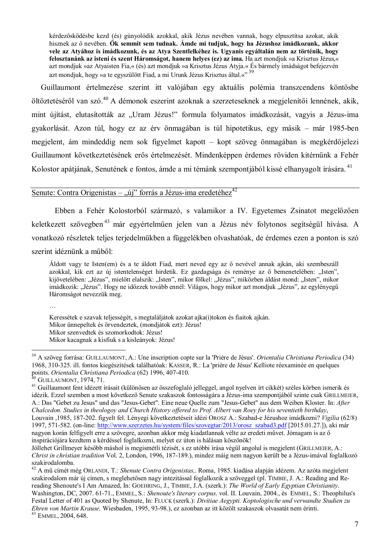kérdezősködésbe kezd (és) gúnyolódik azokkal, akik Jézus nevében vannak, hogy elpusztítsa azokat, akik hisznek az ő nevében. Ők semmit sem tudnak. Ámde mi tudjuk, hogy ha Jézushoz imádkozunk, akkor vele az Atyához is imádkozunk, és az Atya Szentlelkéhez is. Ugyanis egyáltalán nem az történik, hogy felosztanánk az isteni és szent Háromságot, hanem helyes (ez) az ima. Ha azt mondjuk »a Krisztus Jézus,« azt mondjuk »az Atyaisten Fia,« (és) azt mondjuk »a Krisztus Jézus Atyja.« És bármely imádságot befejezvén azt mondjuk, hogy » a te egyszülött Fiad, a mi Urunk Jézus Krisztus által.«"<sup>39</sup>

Guillaumont értelmezése szerint itt valójában egy aktuális polémia transzcendens köntösbe öltöztetéséről van szó.<sup>40</sup> A démonok eszerint azoknak a szerzeteseknek a megjelenítői lennének, akik, mint újítást, elutasították az "Uram Jézus!" formula folyamatos imádkozását, vagyis a Jézus-ima gyakorlását. Azon túl, hogy ez az érv önmagában is túl hipotetikus, egy másik – már 1985-ben megjelent, ám mindeddig nem sok figyelmet kapott – kopt szöveg önmagában is megkérdőjelezi Guillaumont következtetésének erős értelmezését. Mindenképpen érdemes röviden kitérnünk a Fehér Kolostor apátiának, Senutének e fontos, ámde a mi témánk szempontjából kissé elhanyagolt írására.<sup>41</sup>

## Senute: Contra Origenistas – "új" forrás a Jézus-ima eredetéhez<sup>42</sup>

Ebben a Fehér Kolostorból származó, s valamikor a IV. Egyetemes Zsinatot megelőzően keletkezett szövegben<sup>43</sup> már egyértelműen jelen van a Jézus név folytonos segítségül hívása. A vonatkozó részletek teljes terjedelmükben a függelékben olvashatóak, de érdemes ezen a ponton is szó szerint idéznünk a műből:

Áldott vagy te Isten(em) és a te áldott Fiad, mert neved egy az ő nevével annak ajkán, aki szembeszáll azokkal, kik ezt az új istentelenséget hirdetik. Ez gazdagsága és reménye az ő bemenetelében: "Isten". kijövetelében: "Jézus", mielőtt elalszik: "Isten", mikor fölkel: "Jézus", miközben áldást mond: "Isten", mikor imádkozik: "Jézus". Hogy ne időzzek tovább ennél: Világos, hogy mikor azt mondjuk "Jézus", az egylényegű Háromságot nevezzük meg.

 $\ddotsc$ 

Keressétek e szavak teljességét, s megtaláljátok azokat ajka(i)tokon és fiaitok ajkán. Mikor ünnepeltek és örvendeztek, (mondjátok ezt): Jézus! Mikor szenvedtek és szomorkodtok: Jézus! Mikor kacagnak a kisfiuk s a kisleányok: Jézus!

<sup>39</sup> A szöveg forrása: GUILLAUMONT, A.: Une inscription copte sur la 'Prière de Jésus'. Orientalia Christiana Periodica (34) 1968, 310-325. ill. fontos kiegészítések találhatóak: KASSER, R.: La 'prière de Jésus' Kelliote réexaminée en quelques points. Orientalia Christiana Periodica (62) 1996, 407-410.<br><sup>40</sup> GUILLAUMONT, 1974, 71.

<sup>42</sup> A mű címét még ORLANDI, T.: Shenute Contra Origenistas,. Roma, 1985. kiadása alapján idézem. Az azóta megjelent szakirodalom már új címen, s meglehetősen nagy intezitással foglalkozik a szöveggel (pl. TIMBIE, J. A.: Reading and Rereading Shenoute's I Am Amazed, In: GOEHRING, J., TIMBIE, J.A. (szerk.): The World of Early Egyptian Christianity. Washington, DC, 2007, 61-71. EMMEL, S.; Shenoute's literary corpus, vol. II. Louvain, 2004. és EMMEL, S.; Theophilus's Festal Letter of 401 as Ouoted by Shenute. In: FLUCK (szerk.): Divitiae Aegypti. Koptologische und verwandte Studien zu Ehren von Martin Krause, Wiesbaden, 1995, 93-98.), ez azonban az itt közölt szakaszok olvasatát nem érinti. <sup>43</sup> EMMEL, 2004, 648.

<sup>&</sup>lt;sup>41</sup> Guillaumont fent idézett írásait (különösen az összefoglaló jelleggel, angol nyelven írt cikkét) széles körben ismerik és idézik. Ezzel szemben a most következő Senute szakaszok fontosságára a Jézus-ima szempontjából szinte csak GRILLMEIER, A.: Das "Gebet zu Jesus" und das "Jesus-Gebet". Eine neue Quelle zum "Jesus-Gebet" aus dem Weiben Kloster. In: After Chalcedon. Studies in theologov and Church History offered to Prof. Albert van Roey for his seventieth birthday. Louvain 1985, 187-202, figyelt fel. Lényegi következtetéseit idézi OROSZ A.: Szabad-e Jézushoz imádkozni? Vigília (62/8) 1997, 571-582. (on-line: http://www.szerzetes.hu/system/files/szovegtar/2013/orosz\_szabad3.pdf [2015.01.27.]), aki már nagyon korán felfigyelt erre a szövegre, azonban akkor még kiadatlannak vélte az eredeti művet. Jómagam is az ő inspirációjára kezdtem a kérdéssel foglalkozni, melyet ez úton is hálásan köszönök!

Jóllehet Grillmeyer később máshol is megismétli tézisét, s ez utóbbi írása végül angolul is megjelent (GRILLMEIER, A.: Christ in christian tradition Vol. 2, London, 1996, 187-189.), mindez máig nem nagyon került be a Jézus-imával foglalkozó szakirodalomba.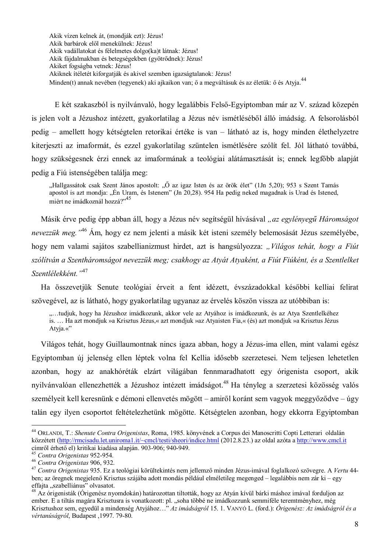Akik vízen kelnek át, (mondják ezt): Jézus! Akik barbárok elől menekülnek: Jézus! Akik vadállatokat és félelmetes dolgo(ka)t látnak: Jézus! Akik fájdalmakban és betegségekben (gyötrődnek): Jézus! Akiket fogságba vetnek: Jézus! Akiknek ítéletét kiforgatják és akivel szemben igazságtalanok: Jézus! Minden(t) annak nevében (tegyenek) aki ajkaikon van; ő a megváltásuk és az életük: ő és Atyja.<sup>44</sup>

E két szakaszból is nyilványaló, hogy legalábbis Felső-Egyiptomban már az V. század közepén is jelen volt a Jézushoz intézett, gyakorlatilag a Jézus név ismétléséből álló imádság. A felsorolásból pedig – amellett hogy kétségtelen retorikai értéke is van – látható az is, hogy minden élethelyzetre kiterjeszti az imaformát, és ezzel gyakorlatilag szüntelen ismétlésére szólít fel. Jól látható továbbá, hogy szükségesnek érzi ennek az imaformának a teológiai alátámasztását is; ennek legfőbb alapját pedig a Fiú istenségében talália meg:

"Hallgassátok csak Szent János apostolt: "Ő az igaz Isten és az örök élet" (1Jn 5,20); 953 s Szent Tamás apostol is azt mondja: "Én Uram, és Istenem" (Jn 20,28). 954 Ha pedig neked magadnak is Urad és Istened, miért ne imádkoznál hozzá?"<sup>45</sup>

Másik érve pedig épp abban áll, hogy a Jézus név segítségül hívásával "az egylényegű Háromságot *nevezzük meg.* "<sup>46</sup> Ám, hogy ez nem jelenti a másik két isteni személy belemosását Jézus személyébe, hogy nem valami sajátos szabellianizmust hirdet, azt is hangsúlyozza: "Világos tehát, hogy a Fiút szólítván a Szentháromságot nevezzük meg; csakhogy az Atyát Atyaként, a Fiút Fiúként, és a Szentlelket Szentlélekként."<sup>47</sup>

Ha összevetjük Senute teológiai érveit a fent idézett, évszázadokkal későbbi kelliai felirat szövegével, az is látható, hogy gyakorlatilag ugyanaz az érvelés köszön vissza az utóbbiban is:

"...tudjuk, hogy ha Jézushoz imádkozunk, akkor vele az Atyához is imádkozunk, és az Atva Szentlelkéhez is. ... Ha azt mondjuk »a Krisztus Jézus,« azt mondjuk »az Atyaisten Fia,« (és) azt mondjuk »a Krisztus Jézus Atyja.«"

Világos tehát, hogy Guillaumontnak nincs igaza abban, hogy a Jézus-ima ellen, mint valami egész Egyiptomban új jelenség ellen léptek volna fel Kellia idősebb szerzetesei. Nem teljesen lehetetlen azonban, hogy az anakhóréták elzárt világában fennmaradhatott egy órigenista csoport, akik nyilványalóan ellenezhették a Jézushoz intézett imádságot.<sup>48</sup> Ha tényleg a szerzetesi közösség valós személyeit kell keresnünk e démoni ellenyetés mögött – amiről koránt sem vagyok meggyőződye – úgy talán egy ilyen csoportot feltételezhetünk mögötte. Kétségtelen azonban, hogy ekkorra Egyiptomban

<sup>&</sup>lt;sup>44</sup> ORLANDI, T.: Shenute Contra Origenistas, Roma, 1985. könyvének a Corpus dei Manoscritti Copti Letterari oldalán közzétett (http://rmcisadu.let.uniroma1.it/~cmcl/testi/sheori/indice.html (2012.8.23.) az oldal azóta a http://www.cmcl.it címről érhető el) kritikai kiadása alapján. 903-906; 940-949.

<sup>&</sup>lt;sup>45</sup> Contra Origenistas 952-954.

<sup>&</sup>lt;sup>46</sup> Contra Origenistas 906, 932.

<sup>&</sup>lt;sup>47</sup> Contra Origenistas 935. Ez a teológiai körültekintés nem jellemző minden Jézus-imával foglalkozó szövegre. A Vertu 44ben; az öregnek megjelenő Krisztus szájába adott mondás például elméletileg megenged – legalábbis nem zár ki – egy effaita "szabelliánus" olvasatot.

<sup>&</sup>lt;sup>48</sup> Az órigenisták (Órigenész nyomdokán) határozottan tiltották, hogy az Atván kívül bárki máshoz imával forduljon az ember. E a tiltás magára Krisztusra is vonatkozott: pl. "soha többé ne imádkozzunk semmiféle teremtményhez, még Krisztushoz sem, egyedül a mindenség Atyjához..." Az imádságról 15. 1. VANYÓ L. (ford.): Órigenész: Az imádságról és a vértanúságról, Budapest , 1997. 79-80.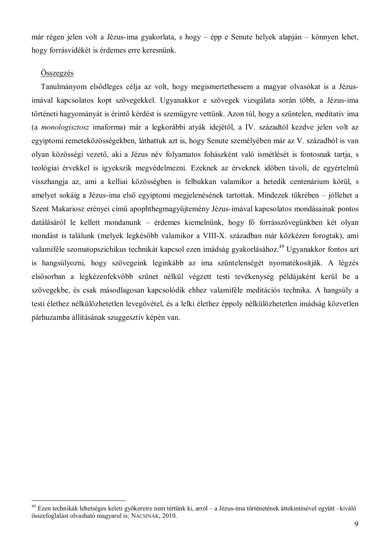már régen jelen volt a Jézus-ima gyakorlata, s hogy – épp e Senute helyek alapján – könnyen lehet, hogy forrásvidékét is érdemes erre keresnünk.

#### Összegzés

Tanulmányom elsődleges célja az volt, hogy megismertethessem a magyar olvasókat is a Jézusimával kapcsolatos kopt szövegekkel. Ugyanakkor e szövegek vizsgálata során több, a Jézus-ima történeti hagyományát is érintő kérdést is szemügyre vettünk. Azon túl, hogy a szüntelen, meditatív ima (a monologisztosz imaforma) már a legkorábbi atyák idejétől, a IV. századtól kezdve jelen volt az egyiptomi remeteközösségekben, láthattuk azt is, hogy Senute személyében már az V. századból is van olyan közösségi vezető, aki a Jézus név folyamatos fohászként való ismétlését is fontosnak tartja, s teológiai érvekkel is igyekszik megvédelmezni. Ezeknek az érveknek időben távoli, de egyértelmű visszhangja az, ami a kelliai közösségben is felbukkan valamikor a hetedik centenárium körül, s amelyet sokáig a Jézus-ima első egyiptomi megjelenésének tartottak. Mindezek tükrében – jóllehet a Szent Makariosz erényei című apophthegmagyűjtemény Jézus-imával kapcsolatos mondásainak pontos datálásáról le kellett mondanunk – érdemes kiemelnünk, hogy fő forrásszövegünkben két olyan mondást is találunk (melyek legkésőbb valamikor a VIII-X. században már közkézen forogtak), ami valamiféle szomatopszichikus technikát kapcsol ezen imádság gyakorlásához.<sup>49</sup> Ugyanakkor fontos azt is hangsúlvozni, hogy szövegeink leginkább az ima szüntelenségét nyomatékosítiák. A légzés elsősorban a legkézenfekvőbb szünet nélkül végzett testi tevékenység példájaként kerül be a szövegekbe, és csak másodlagosan kapcsolódik ehhez valamiféle meditációs technika. A hangsúly a testi élethez nélkülözhetetlen levegővétel, és a lelki élethez éppoly nélkülözhetetlen imádság közvetlen párhuzamba állításának szuggesztív képén van.

<sup>&</sup>lt;sup>49</sup> Ezen technikák lehetséges keleti gyökereire nem tértünk ki, arról – a Jézus-ima történetének áttekintésével együtt –kiváló összefoglalást olvasható magyarul is: NACSINÁK, 2010.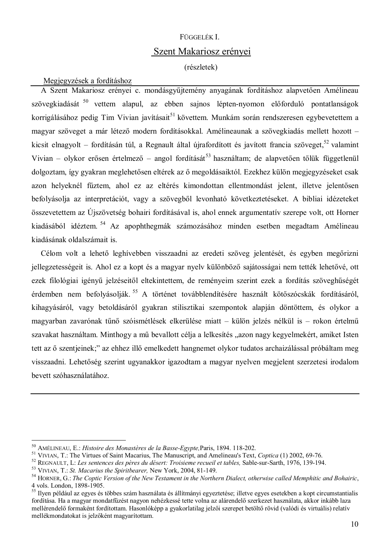## FÜGGELÉK L

# Szent Makariosz erényei

(részletek)

#### Megjegyzések a fordításhoz

A Szent Makariosz erényei c. mondásgyűjtemény anyagának fordításhoz alapyetően Amélineau szövegkiadását <sup>50</sup> vettem alapul, az ebben sajnos lépten-nyomon előforduló pontatlanságok korrigálásához pedig Tim Vivian javításait<sup>51</sup> követtem. Munkám során rendszeresen egybevetettem a magyar szöveget a már létező modern fordításokkal. Amélineaunak a szövegkiadás mellett hozott kicsit elnagyolt – fordításán túl, a Regnault által újrafordított és javított francia szöveget,  $52$  valamint Vivian – olykor erősen értelmező – angol fordítását<sup>53</sup> használtam; de alapvetően tőlük függetlenül dolgoztam, így gyakran meglehetősen eltérek az ő megoldásaiktól. Ezekhez külön megjegyzéseket csak azon helyeknél fűztem, ahol ez az eltérés kimondottan ellentmondást jelent, illetve jelentősen befolyásolja az interpretációt, vagy a szövegből levonható következtetéseket. A bibliai idézeteket összevetettem az Újszövetség bohairi fordításával is, ahol ennek argumentatív szerepe volt, ott Horner kiadásából idéztem. <sup>54</sup> Az apophthegmák számozásához minden esetben megadtam Amélineau kiadásának oldalszámait is.

Célom volt a lehető leghívebben visszaadni az eredeti szöveg jelentését, és egyben megőrizni jellegzetességeit is. Ahol ez a kopt és a magyar nyelv különböző sajátosságai nem tették lehetővé, ott ezek filológiai igényű jelzéseitől eltekintettem, de reményeim szerint ezek a fordítás szöveghűségét érdemben nem befolvásolják.<sup>55</sup> A történet továbblendítésére használt kötőszócskák fordításáról. kihagyásáról, vagy betoldásáról gyakran stilisztikai szempontok alapján döntöttem, és olykor a magyarban zavarónak tűnő szóismétlések elkerülése miatt – külön jelzés nélkül is – rokon értelmű szavakat használtam. Minthogy a mű bevallott célja a lelkesítés "azon nagy kegyelmekért, amiket Isten tett az ő szentjeinek;" az ehhez illő emelkedett hangnemet olykor tudatos archaizálással próbáltam meg visszaadni. Lehetőség szerint ugyanakkor igazodtam a magyar nyelven megjelent szerzetesi irodalom bevett szóhasználatához.

<sup>&</sup>lt;sup>50</sup> AMÉLINEAU, E.: Histoire des Monastères de la Basse-Egypte, Paris, 1894. 118-202.

<sup>&</sup>lt;sup>51</sup> VIVIAN, T.: The Virtues of Saint Macarius, The Manuscript, and Amelineau's Text, Coptica (1) 2002, 69-76.

<sup>&</sup>lt;sup>52</sup> REGNAULT, L: Les sentences des pères du désert: Troisieme recueil et tables, Sable-sur-Sarth, 1976, 139-194.

<sup>&</sup>lt;sup>53</sup> VIVIAN, T.: St. Macarius the Spiritbearer, New York, 2004, 81-149.

 $54$  HORNER, G.: The Coptic Version of the New Testament in the Northern Dialect, otherwise called Memphitic and Bohairic, 4 vols. London. 1898-1905.

<sup>&</sup>lt;sup>55</sup> Ilven például az egyes és többes szám használata és állítmányi egyeztetése; illetve egyes esetekben a kopt circumstantialis fordítása. Ha a magyar mondatfűzést nagyon nehézkessé tette volna az alárendelő szerkezet használata, akkor inkább laza mellérendelő formaként fordítottam. Hasonlóképp a gyakorlatilag jelzői szerepet betöltő rövid (valódi és virtuális) relatív mellékmondatokat is jelzőként magyarítottam.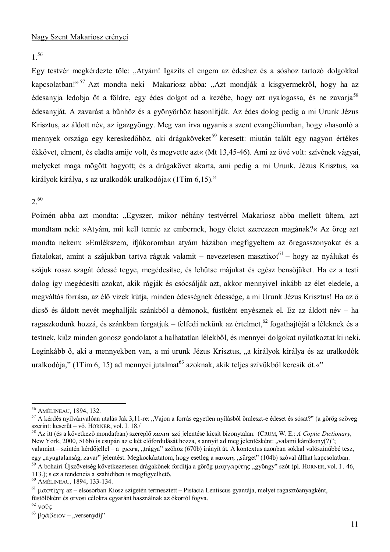$1^{56}$ 

Egy testvér megkérdezte tőle: "Atvám! Igazíts el engem az édeshez és a sóshoz tartozó dolgokkal kapcsolatban!"<sup>57</sup> Azt mondta neki Makariosz abba: "Azt mondják a kisgyermekről, hogy ha az édesanyja ledobja őt a földre, egy édes dolgot ad a kezébe, hogy azt nyalogassa, és ne zavaria<sup>58</sup> édesanyját. A zavarást a bűnhöz és a gyönyörhöz hasonlítják. Az édes dolog pedig a mi Urunk Jézus Krisztus, az áldott név, az igazgyöngy. Meg van írva ugyanis a szent evangéliumban, hogy »hasonló a mennyek országa egy kereskedőhöz, aki drágaköveket<sup>59</sup> keresett: miután talált egy nagyon értékes ékkövet, elment, és eladta amije volt, és megyette azt« (Mt 13,45-46). Ami az övé volt: szívének vágyai, melyeket maga mögött hagyott; és a drágakövet akarta, ami pedig a mi Urunk, Jézus Krisztus, »a királyok királya, s az uralkodók uralkodója« (1Tim 6,15)."

## $2^{60}$

Poimén abba azt mondta: "Egyszer, mikor néhány testvérrel Makariosz abba mellett ültem, azt mondtam neki: »Atyám, mit kell tennie az embernek, hogy életet szerezzen magának?« Az öreg azt mondta nekem: »Emlékszem, ifjúkoromban atvám házában megfigyeltem az öregasszonyokat és a fiatalokat, amint a szájukban tartva rágtak valamit – nevezetesen masztixot<sup>61</sup> – hogy az nyálukat és szájuk rossz szagát édessé tegye, megédesítse, és lehűtse májukat és egész bensőjüket. Ha ez a testi dolog így megédesíti azokat, akik rágják és csócsálják azt, akkor mennyivel inkább az élet eledele, a megváltás forrása, az élő vizek kútja, minden édességnek édessége, a mi Urunk Jézus Krisztus! Ha az ő dicső és áldott nevét meghallják szánkból a démonok, füstként enyésznek el. Ez az áldott név – ha ragaszkodunk hozzá, és szánkban forgatjuk – felfedi nekünk az értelmet.<sup>62</sup> fogathajtóját a léleknek és a testnek, kiűz minden gonosz gondolatot a halhatatlan lélekből, és mennyei dolgokat nyilatkoztat ki neki. Leginkább ő, aki a mennyekben van, a mi urunk Jézus Krisztus, "a királyok királya és az uralkodók uralkodója," (1Tim 6, 15) ad mennyei jutalmat<sup>63</sup> azoknak, akik teljes szívükből keresik őt.«"

<sup>&</sup>lt;sup>56</sup> AMÉLINEAU, 1894, 132.

<sup>&</sup>lt;sup>57</sup> A kérdés nyilvánvalóan utalás Jak 3,11-re: "Vajon a forrás egyetlen nyílásból ömleszt-e édeset és sósat?" (a görög szöveg szerint: keserűt – vö. HORNER, vol. I. 18.

<sup>&</sup>lt;sup>58</sup> Az itt (és a következő mondatban) szereplő **χελη** szó jelentése kicsit bizonytalan. (CRUM, W. E.: A Coptic Dictionary, New York, 2000, 516b) is csupán az e két előfordulását hozza, s annyit ad meg jelentésként: "valami kártékony(?)"; valamint – szintén kérdőjellel – a 2AMI, "trágya" szóhoz (670b) irányít át. A kontextus azonban sokkal valószínűbbé tesz, egy "nyugtalanság, zavar" jelentést. Megkockáztatom, hogy esetleg a **kozen.** "sürget" (104b) szóval állhat kapcsolatban.

<sup>&</sup>lt;sup>59</sup> A bohairi Úiszövetség következetesen drágakőnek fordítja a görög μαργαρίτης "gyöngy" szót (pl. HORNER, vol. I. 46, 113.); s ez a tendencia a szahidiben is megfigyelhető.

<sup>&</sup>lt;sup>60</sup> AMÉLINEAU, 1894, 133-134.

 $^{61}$  μαστίχη: az – elsősorban Kiosz szigetén termesztett – Pistacia Lentiscus gyantája, melyet ragasztóanyagként, füstölőként és orvosi célokra egyaránt használnak az ókortól fogya.

 $62$  vouc

<sup>&</sup>lt;sup>63</sup> βράβειον – "versenydíj"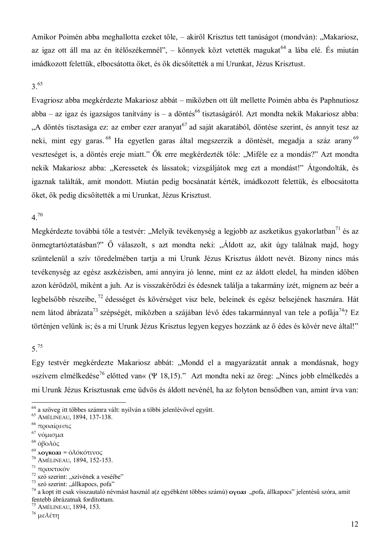Amikor Poimén abba meghallotta ezeket tőle, – akiről Krisztus tett tanúságot (mondván): "Makariosz, az igaz ott áll ma az én ítélőszékemnél", – könnyek közt vetették magukat<sup>64</sup> a lába elé. És miután imádkozott felettük, elbocsátotta őket, és ők dicsőítették a mi Urunkat, Jézus Krisztust.

## $3^{65}$

Evagriosz abba megkérdezte Makariosz abbát – miközben ott ült mellette Poimén abba és Paphnutiosz abba – az igaz és igazságos tanítvány is – a döntés<sup>66</sup> tisztaságáról. Azt mondta nekik Makariosz abba: "A döntés tisztasága ez: az ember ezer aranyat<sup>67</sup> ad saját akaratából, döntése szerint, és annyit tesz az neki, mint egy garas.<sup>68</sup> Ha egyetlen garas által megszerzik a döntését, megadja a száz arany<sup>69</sup> veszteséget is, a döntés ereje miatt." Ők erre megkérdezték tőle: "Miféle ez a mondás?" Azt mondta nekik Makariosz abba: "Keressetek és lássatok; vizsgáljátok meg ezt a mondást!" Átgondolták, és igaznak találták, amit mondott. Miután pedig bocsánatát kérték, imádkozott felettük, és elbocsátotta őket, ők pedig dicsőítették a mi Urunkat, Jézus Krisztust.

#### $4^{70}$

Megkérdezte továbbá tőle a testvér: "Melyik tevékenység a legjobb az aszketikus gyakorlatban<sup>71</sup> és az önmegtartóztatásban?" Ő válaszolt, s azt mondta neki: "Áldott az, akit úgy találnak majd, hogy szüntelenül a szív töredelmében tartja a mi Urunk Jézus Krisztus áldott nevét. Bizony nincs más tevékenység az egész aszkézisben, ami annyira jó lenne, mint ez az áldott eledel, ha minden időben azon kérődzöl, miként a juh. Az is visszakérődzi és édesnek találja a takarmány ízét, mígnem az beér a legbelsőbb részeibe, <sup>72</sup> édességet és kövérséget visz bele, beleinek és egész belsejének hasznára. Hát nem látod ábrázata<sup>73</sup> szépségét, miközben a szájában lévő édes takarmánnyal van tele a pofája<sup>74</sup>? Ez történien velünk is; és a mi Urunk Jézus Krisztus legyen kegyes hozzánk az ő édes és kövér neve által!"

## $5^{75}$

Egy testvér megkérdezte Makariosz abbát: "Mondd el a magyarázatát annak a mondásnak, hogy » szívem elmélkedése<sup>76</sup> előtted van« ( $\Psi$  18,15)." Azt mondta neki az öreg: "Nincs jobb elmélkedés a mi Urunk Jézus Krisztusnak eme üdvös és áldott nevénél, ha az folyton bensődben van, amint írva van:

<sup>&</sup>lt;sup>64</sup> a szöveg itt többes számra vált: nyilván a többi jelenlévővel együtt.

<sup>&</sup>lt;sup>65</sup> AMÉLINEAU, 1894, 137-138.

<sup>&</sup>lt;sup>66</sup> προαίρεσις

 $67$  νόμισμα

 $68 \partial B \Omega \Delta 6c$ 

<sup>&</sup>lt;sup>69</sup> λογκοχι = ολόκότινος

<sup>&</sup>lt;sup>70</sup> AMÉLINEAU, 1894, 152-153.

<sup>&</sup>lt;sup>71</sup> πρακτικόν

<sup>&</sup>lt;sup>72</sup> szó szerint: "szívének a veséibe"

<sup>73</sup> szó szerint: "állkapocs, pofa"

<sup>&</sup>lt;sup>74</sup> a kopt itt csak visszautaló névmást használ a(z egyébként többes számú) **o**yoxi "pofa, állkapocs" jelentésű szóra, amit fentebb ábrázatnak fordítottam.

<sup>&</sup>lt;sup>75</sup> AMÉLINEAU, 1894, 153.

<sup>&</sup>lt;sup>76</sup> μελέτη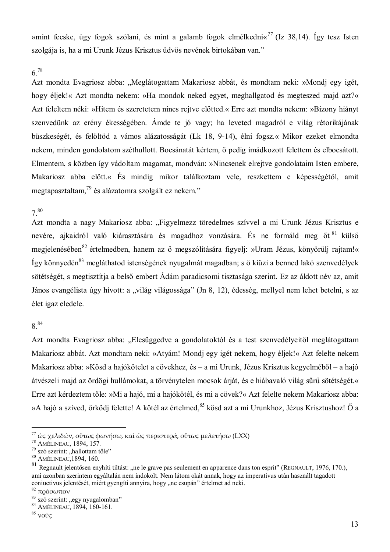»mint fecske, úgy fogok szólani, és mint a galamb fogok elmélkedni $\frac{77}{12}$  (Iz 38,14). Így tesz Isten szolgája is, ha a mi Urunk Jézus Krisztus üdvös nevének birtokában van."

## $6^{78}$

Azt mondta Evagriosz abba: "Meglátogattam Makariosz abbát, és mondtam neki: »Mondj egy igét, hogy éljek!« Azt mondta nekem: »Ha mondok neked egyet, meghallgatod és megteszed majd azt?« Azt feleltem néki: »Hitem és szeretetem nincs rejtve előtted.« Erre azt mondta nekem: »Bizony hiányt szenvedünk az erény ékességében. Ámde te jó vagy; ha leveted magadról e világ rétorikájának büszkeségét, és felöltöd a vámos alázatosságát (Lk 18, 9-14), élni fogsz.« Mikor ezeket elmondta nekem, minden gondolatom széthullott. Bocsánatát kértem, ő pedig imádkozott felettem és elbocsátott. Elmentem, s közben így vádoltam magamat, mondván: »Nincsenek elrejtve gondolataim Isten embere, Makariosz abba előtt.« És mindig mikor találkoztam vele, reszkettem e képességétől, amit megtapasztaltam,<sup>79</sup> és alázatomra szolgált ez nekem."

#### $7^{80}$

Azt mondta a nagy Makariosz abba: "Figyelmezz töredelmes szívvel a mi Urunk Jézus Krisztus e nevére, ajkaidról való kiárasztására és magadhoz vonzására. És ne formáld meg őt 81 külső megjelenésében<sup>82</sup> értelmedben, hanem az ő megszólítására figyelj: »Uram Jézus, könyörülj rajtam!« Így könnyedén<sup>83</sup> megláthatod istenségének nyugalmát magadban; s ő kiűzi a benned lakó szenvedélyek sötétségét, s megtisztítja a belső embert Ádám paradicsomi tisztasága szerint. Ez az áldott név az, amit János evangélista úgy hívott: a "világ világossága" (Jn 8, 12), édesség, mellyel nem lehet betelni, s az élet igaz eledele.

## 8<sup>84</sup>

Azt mondta Evagriosz abba: "Elcsüggedve a gondolatoktól és a test szenvedélyeitől meglátogattam Makariosz abbát. Azt mondtam neki: »Atyám! Mondj egy igét nekem, hogy éljek!« Azt felelte nekem Makariosz abba: »Kösd a hajókötelet a cövekhez, és – a mi Urunk, Jézus Krisztus kegyelméből – a hajó átvészeli majd az ördögi hullámokat, a törvénytelen mocsok árját, és e hiábavaló világ sűrű sötétségét.« Erre azt kérdeztem tőle: »Mi a hajó, mi a hajókötél, és mi a cövek?« Azt felelte nekem Makariosz abba: »A hajó a szíved, őrködi felette! A kötél az értelmed, <sup>85</sup> kösd azt a mi Urunkhoz, Jézus Krisztushoz! Ő a

 $^{77}$ ώς χελιδών, ούτως φωνήσω, καὶ ώς περιστερά, ούτως μελετήσω (LXX)

<sup>&</sup>lt;sup>78</sup> AMÉLINEAU, 1894, 157.

<sup>79</sup> szó szerint: "hallottam tőle"

<sup>80</sup> AMÉLINEAU, 1894, 160.

 $81$  Regnault ielentősen enyhíti tiltást: "ne le grave pas seulement en apparence dans ton esprit" (REGNAULT, 1976, 170.), ami azonban szerintem egyáltalán nem indokolt. Nem látom okát annak, hogy az imperativus után használt tagadott conjuctivus jelentését, miért gyengíti annyira, hogy "ne csupán" értelmet ad neki.

<sup>&</sup>lt;sup>82</sup> πρόσωπον

<sup>&</sup>lt;sup>83</sup> szó szerint: "egy nyugalomban"

<sup>84</sup> AMÉLINEAU, 1894, 160-161.

 $^{85}$ νοῦς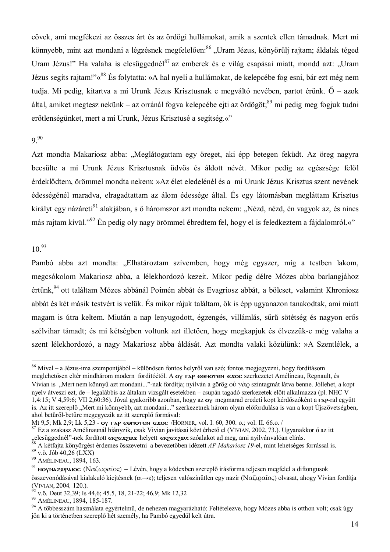cövek, ami megfékezi az összes árt és az ördögi hullámokat, amik a szentek ellen támadnak. Mert mi könnyebb, mint azt mondani a légzésnek megfelelően:<sup>86</sup> "Uram Jézus, könyörüli rajtam; áldalak téged Uram Jézus!" Ha valaha is elcsüggednél<sup>87</sup> az emberek és e világ csapásai miatt, mondd azt: "Uram Jézus segíts rajtam!"«<sup>88</sup> És folytatta: »A hal nyeli a hullámokat, de kelepcébe fog esni, bár ezt még nem tudja. Mi pedig, kitartva a mi Urunk Jézus Krisztusnak e megváltó nevében, partot érünk. Ő – azok által, amiket megtesz nekünk – az orránál fogya kelepcébe ejti az ördögöt;  $89$  mi pedig meg fogjuk tudni erőtlenségünket, mert a mi Urunk, Jézus Krisztusé a segítség.«"

## $9<sup>90</sup>$

Azt mondta Makariosz abba: "Meglátogattam egy öreget, aki épp betegen feküdt. Az öreg nagyra becsülte a mi Urunk Jézus Krisztusnak üdvös és áldott névét. Mikor pedig az egészsége felől érdeklődtem, örömmel mondta nekem: »Az élet eledelénél és a mi Urunk Jézus Krisztus szent nevének édességénél maradya, elragadtattam az álom édessége által. És egy látomásban megláttam Krisztus királyt egy názáreti<sup>91</sup> alakjában, s ő háromszor azt mondta nekem: "Nézd, nézd, én vagyok az, és nincs más rajtam kívül."<sup>92</sup> Én pedig oly nagy örömmel ébredtem fel, hogy el is feledkeztem a fájdalomról.«"

# $10^{93}$

Pambó abba azt mondta: "Elhatároztam szívemben, hogy még egyszer, míg a testben lakom, megcsókolom Makariosz abba, a lélekhordozó kezeit. Mikor pedig délre Mózes abba barlangjához értünk,<sup>94</sup> ott találtam Mózes abbánál Poimén abbát és Evagriosz abbát, a bölcset, valamint Khroniosz abbát és két másik testvért is velük. És mikor rájuk találtam, ők is épp ugyanazon tanakodtak, ami miatt magam is útra keltem. Miután a nap lenyugodott, égzengés, villámlás, sűrű sötétség és nagyon erős szélvihar támadt: és mi kétségben voltunk azt illetően, hogy megkapjuk és élvezzük-e még valaha a szent lélekhordozó, a nagy Makariosz abba áldását. Azt mondta valaki közülünk: »A Szentlélek, a

Mt 9,5; Mk 2,9; Lk 5,23 - ov rap comoten exoc /HORNER, vol. I. 60, 300, o.; vol. II, 66, o./

 $86$  Mivel – a Jézus-ima szempontjából – különösen fontos helyről van szó; fontos megjegyezni, hogy fordításom meglehetősen eltér mindhárom modern fordítóétól. A oy rap comorren exoc szerkezetet Amélineau, Regnault, és Vivian is "Mert nem könnyű azt mondani..."-nak fordítja; nyilván a görög οὐ γὰρ szintagmát látva benne. Jóllehet, a kopt nyelv átveszi ezt. de – legalábbis az általam vizsgált esetekben – csupán tagadó szerkezetek előtt alkalmazza (pl. NHC V 1,4:15; V 4,59:6; VII 2,60:36). Jóval gyakoribb azonban, hogy az oy megmarad eredeti kopt kérdőszóként a rap-ral együtt is. Az itt szereplő "Mert mi könnyebb, azt mondani..." szerkezetnek három olyan előfordulása is van a kopt Újszövetségben, ahol betűről-betűre megegyezik az itt szereplő formával:

<sup>87</sup> Ez a szakasz Amélinaunál hiányzik, csak Vivian javításai közt érhető el (VIVIAN, 2002, 73.). Ugyanakkor ő az itt elcsüggednél"-nek fordított exergent helyett exergent szóalakot ad meg, ami nyilvánvalóan elírás.

A kétfaita könyörgést érdemes összevetni a bevezetőben idézett *AP Makariosz 19*-el, mint lehetséges forrással is,  $89$  v.ö. Jób 40,26 (LXX)

<sup>&</sup>lt;sup>90</sup> AMÉLINEAU, 1894, 163.

<sup>&</sup>lt;sup>91</sup> NOΥΝΑΖΦΡΑΙΟΣ (Ναζωραϊος) – Lévén, hogy a kódexben szereplő írásforma teljesen megfelel a diftongusok összevonódásával kialakuló kiejtésnek ( $\alpha \rightarrow \epsilon$ ); teljesen valószínűtlen egy nazír (N $\alpha\zeta\iota\rho\alpha\bar{\iota}\circ\varsigma$ ) olvasat, ahogy Vivian fordítja

<sup>(</sup>VIVIAN, 2004, 120.).<br><sup>92</sup> v.ö. Deut 32,39; Is 44,6; 45.5, 18, 21-22; 46.9; Mk 12,32

<sup>93</sup> AMÉLINEAU, 1894, 185-187.

<sup>94</sup> A többesszám használata egyértelmű, de nehezen magyarázható: Feltételezve, hogy Mózes abba is otthon volt; csak úgy jön ki a történetben szereplő hét személy, ha Pambó egyedül kelt útra.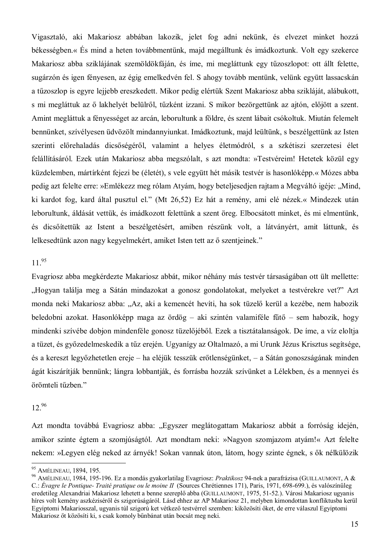Vigasztaló, aki Makariosz abbában lakozik, jelet fog adni nekünk, és elvezet minket hozzá békességben.« És mind a heten továbbmentünk, majd megálltunk és imádkoztunk. Volt egy szekerce Makariosz abba sziklájának szemöldökfáján, és íme, mi megláttunk egy tűzoszlopot: ott állt felette, sugárzón és igen fényesen, az égig emelkedvén fel. S ahogy tovább mentünk, velünk együtt lassacskán a tűzoszlop is egyre lejjebb ereszkedett. Mikor pedig elértük Szent Makariosz abba szikláját, alábukott, s mi megláttuk az ő lakhelyét belülről, tűzként izzani. S mikor bezörgettünk az ajtón, előjött a szent. Amint megláttuk a fényességet az arcán, leborultunk a földre, és szent lábait csókoltuk. Miután felemelt bennünket, szívélyesen üdvözölt mindannyiunkat. Imádkoztunk, majd leültünk, s beszélgettünk az Isten szerinti előrehaladás dicsőségéről, valamint a helyes életmódról, s a szkétiszi szerzetesi élet felállításáról. Ezek után Makariosz abba megszólalt, s azt mondta: »Testvéreim! Hetetek közül egy küzdelemben, mártírként fejezi be (életét), s vele együtt hét másik testvér is hasonlóképp.« Mózes abba pedig azt felelte erre: »Emlékezz meg rólam Atyám, hogy beteljesedjen rajtam a Megváltó igéje: "Mind, ki kardot fog, kard által pusztul el." (Mt 26,52) Ez hát a remény, ami elé nézek.« Mindezek után leborultunk, áldását vettük, és imádkozott felettünk a szent öreg. Elbocsátott minket, és mi elmentünk, és dicsőítettük az Istent a beszélgetésért, amiben részünk volt, a látványért, amit láttunk, és lelkesedtünk azon nagy kegyelmekért, amiket Isten tett az ő szentieinek."

## $11^{95}$

Evagriosz abba megkérdezte Makariosz abbát, mikor néhány más testvér társaságában ott ült mellette: "Hogyan találja meg a Sátán mindazokat a gonosz gondolatokat, melyeket a testvérekre vet?" Azt monda neki Makariosz abba: "Az, aki a kemencét hevíti, ha sok tüzelő kerül a kezébe, nem habozik beledobni azokat. Hasonlóképp maga az ördög – aki szintén valamiféle fűtő – sem habozik, hogy mindenki szívébe dobion mindenféle gonosz tüzelőjéből. Ezek a tisztátalanságok. De íme, a víz eloltja a tüzet, és győzedelmeskedik a tűz erején. Ugyanígy az Oltalmazó, a mi Urunk Jézus Krisztus segítsége, és a kereszt legyőzhetetlen ereje – ha eléjük tesszük erőtlenségünket, – a Sátán gonoszságának minden ágát kiszárítiák bennünk; lángra lobbantiák, és forrásba hozzák szívünket a Lélekben, és a mennyei és örömteli tűzben."

#### $12^{96}$

Azt mondta továbbá Evagriosz abba: "Egyszer meglátogattam Makariosz abbát a forróság idején, amikor szinte égtem a szomjúságtól. Azt mondtam neki: »Nagyon szomjazom atyám!« Azt felelte nekem: »Legyen elég neked az árnyék! Sokan vannak úton, látom, hogy szinte égnek, s ők nélkülözik

<sup>95</sup> AMÉLINEAU, 1894, 195.

<sup>&</sup>lt;sup>96</sup> AMÉLINEAU, 1984, 195-196. Ez a mondás gyakorlatilag Evagriosz: Praktikosz 94-nek a parafrázisa (GUILLAUMONT, A & C.: Évagre le Pontique- Traité pratique ou le moine II (Sources Chrétiennes 171), Paris, 1971, 698-699.), és valószínűleg eredetileg Alexandriai Makariosz lehetett a benne szereplő abba (GUILLAUMONT, 1975, 51-52.). Városi Makariosz ugyanis híres volt kemény aszkéziséről és szigorúságáról. Lásd ehhez az AP Makariosz 21. melyben kimondottan konfliktusba kerül Egyiptomi Makariosszal, ugyanis túl szigorú ket vétkező testvérrel szemben: kiközösíti őket, de erre válaszul Egyiptomi Makariosz őt közösíti ki, s csak komoly bűnbánat után bocsát meg neki.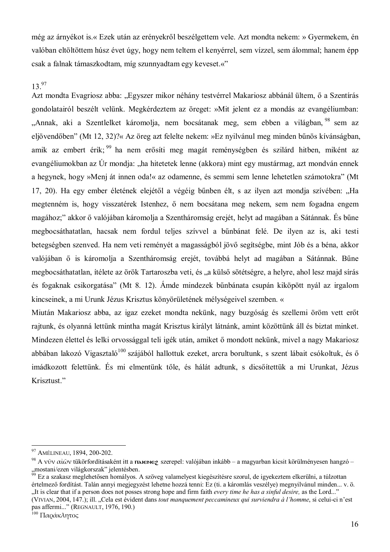még az árnyékot is.« Ezek után az erényekről beszélgettem vele. Azt mondta nekem: » Gyermekem, én valóban eltöltöttem húsz évet úgy, hogy nem teltem el kenyérrel, sem vízzel, sem álommal; hanem épp csak a falnak támaszkodtam, míg szunnyadtam egy keveset.«"

## $13^{97}$

Azt mondta Evagriosz abba: "Egyszer mikor néhány testvérrel Makariosz abbánál ültem, ő a Szentírás gondolatairól beszélt velünk. Megkérdeztem az öreget: »Mit jelent ez a mondás az evangéliumban: "Annak, aki a Szentlelket káromolja, nem bocsátanak meg, sem ebben a világban, <sup>98</sup> sem az eljövendőben" (Mt 12, 32)?« Az öreg azt felelte nekem: »Ez nyilvánul meg minden bűnös kívánságban. amik az embert érik; <sup>99</sup> ha nem erősíti meg magát reménységben és szilárd hitben, miként az evangéliumokban az Úr mondia: "ha hitetetek lenne (akkora) mint egy mustármag, azt mondván ennek a hegynek, hogy »Menj át innen oda!« az odamenne, és semmi sem lenne lehetetlen számotokra" (Mt 17, 20). Ha egy ember életének elejétől a végéig bűnben élt, s az ilyen azt mondja szívében: "Ha megtenném is, hogy visszatérek Istenhez, ő nem bocsátana meg nekem, sem nem fogadna engem magához;" akkor ő valójában káromolja a Szentháromság erejét, helyt ad magában a Sátánnak. És bűne megbocsáthatatlan, hacsak nem fordul teljes szívvel a bűnbánat felé. De ilyen az is, aki testi betegségben szenved. Ha nem veti reményét a magasságból jövő segítségbe, mint Jób és a béna, akkor valójában ő is káromolja a Szentháromság erejét, továbbá helyt ad magában a Sátánnak. Bűne megbocsáthatatlan, ítélete az örök Tartaroszba veti, és "a külső sötétségre, a helyre, ahol lesz majd sírás és fogaknak csikorgatása" (Mt 8, 12). Ámde mindezek bűnbánata csupán kiköpött nyál az irgalom kincseinek, a mi Urunk Jézus Krisztus könyörületének mélységeivel szemben. «

Miután Makariosz abba, az igaz ezeket mondta nekünk, nagy buzgóság és szellemi öröm vett erőt rajtunk, és olyanná lettünk mintha magát Krisztus királyt látnánk, amint közöttünk áll és biztat minket. Mindezen élettel és lelki orvossággal teli igék után, amiket ő mondott nekünk, mivel a nagy Makariosz abbában lakozó Vigasztaló<sup>100</sup> szájából hallottuk ezeket, arcra borultunk, s szent lábait csókoltuk, és ő imádkozott felettünk. És mi elmentünk tőle, és hálát adtunk, s dicsőítettük a mi Urunkat, Jézus Krisztust."

<sup>97</sup> AMÉLINEAU, 1894, 200-202.

<sup>&</sup>lt;sup>98</sup> A vũy  $\alpha\tilde{u}\tilde{\omega}$ v tükörfordításaként itt a **najene**g szerepel: valójában inkább – a magyarban kicsit körülményesen hangzó – "mostani/ezen világkorszak" jelentésben.<br><sup>99</sup> Ez a szakasz meglehetősen homályos. A szöveg valamelyest kiegészítésre szorul, de igyekeztem elkerülni, a túlzottan

értelmező fordítást. Talán annyi megjegyzést lehetne hozzá tenni: Ez (ti. a káromlás veszélye) megnyilvánul minden... v. ö. "...It is clear that if a person does not posses strong hope and firm faith every time he has a sinful desire, as the Lord..." (VIVIAN, 2004, 147.); ill. "Cela est évident dans tout manquement peccamineux qui surviendra à l'homme, si celui-ci n'est pas affermi..." (REGNAULT, 1976, 190.)

<sup>&</sup>lt;sup>100</sup> Παράκλητος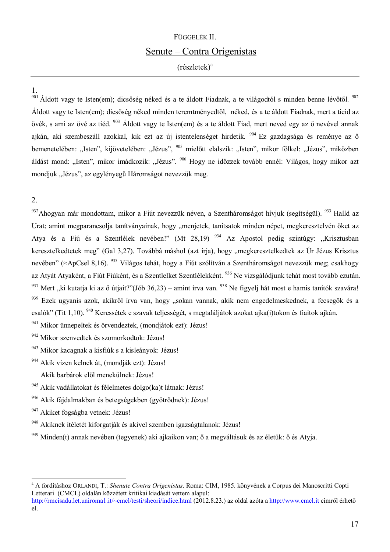# FÜGGELÉK II. Senute – Contra Origenistas

 $(r$ észletek $)^a$ 

<sup>901</sup> Áldott vagy te Isten(em); dicsőség néked és a te áldott Fiadnak, a te világodtól s minden benne lévőtől. <sup>902</sup> Áldott vagy te Isten(em); dicsőség néked minden teremtményedtől, néked, és a te áldott Fiadnak, mert a tiejd az övék, s ami az övé az tiéd. <sup>903</sup> Áldott vagy te Isten(em) és a te áldott Fiad, mert neved egy az ő nevével annak ajkán, aki szembeszáll azokkal, kik ezt az új istentelenséget hirdetik. <sup>904</sup> Ez gazdagsága és reménye az ő bemenetelében: "Isten", kijövetelében: "Jézus", <sup>905</sup> mielőtt elalszik: "Isten", mikor fölkel: "Jézus", miközben áldást mond: "Isten", mikor imádkozik: "Jézus". <sup>906</sup> Hogy ne időzzek tovább ennél: Világos, hogy mikor azt mondjuk "Jézus", az egylényegű Háromságot nevezzük meg.

## $\overline{2}$ .

932 Ahogyan már mondottam, mikor a Fiút nevezzük néven, a Szentháromságot hívjuk (segítségül). <sup>933</sup> Halld az Urat; amint megparancsolja tanítványainak, hogy "menjetek, tanítsatok minden népet, megkeresztelvén őket az Atya és a Fiú és a Szentlélek nevében!" (Mt 28,19) <sup>934</sup> Az Apostol pedig szintúgy: "Krisztusban keresztelkedtetek meg" (Gal 3,27). Továbbá máshol (azt írja), hogy "megkeresztelkedtek az Úr Jézus Krisztus nevében" ( $\approx$ ApCsel 8.16). <sup>935</sup> Világos tehát, hogy a Fiút szólítván a Szentháromságot nevezzük meg: csakhogy az Atyát Atyaként, a Fiút Fiúként, és a Szentlelket Szentlélekként. 936 Ne vizsgálódjunk tehát most tovább ezután. <sup>937</sup> Mert "ki kutatja ki az ő útjait?"(Jób 36,23) – amint írva van. <sup>938</sup> Ne figyelj hát most e hamis tanítók szavára! 939 Ezek ugyanis azok, akikről írva van, hogy "sokan vannak, akik nem engedelmeskednek, a fecsegők és a csalók" (Tit 1.10). <sup>940</sup> Keressétek e szavak teljességét, s megtaláljátok azokat ajka(j)tokon és fiajtok ajkán.

941 Mikor ünnepeltek és örvendeztek, (mondjátok ezt): Jézus!

942 Mikor szenvedtek és szomorkodtok: Jézus!

943 Mikor kacagnak a kisfiúk s a kisleányok: Jézus!

944 Akik vízen kelnek át, (mondják ezt): Jézus!

Akik barbárok elől menekülnek: Jézus!

945 Akik vadállatokat és félelmetes dolgo(ka)t látnak: Jézus!

946 Akik fájdalmakban és betegségekben (gyötrődnek): Jézus!

947 Akiket fogságba vetnek: Jézus!

948 Akiknek ítéletét kiforgatják és akivel szemben igazságtalanok: Jézus!

949 Minden(t) annak nevében (tegyenek) aki ajkaikon van: ő a megyáltásuk és az életük: ő és Atvia.

<sup>a</sup> A fordításhoz ORLANDI. T.: Shenute Contra Origenistas. Roma: CIM. 1985. könyvének a Corpus dei Manoscritti Copti Letterari (CMCL) oldalán közzétett kritikai kiadását vettem alapul: http://rmcisadu.let.uniroma1.it/~cmcl/testi/sheori/indice.html (2012.8.23.) az oldal azóta a http://www.cmcl.it címről érhető  $e^{i}$